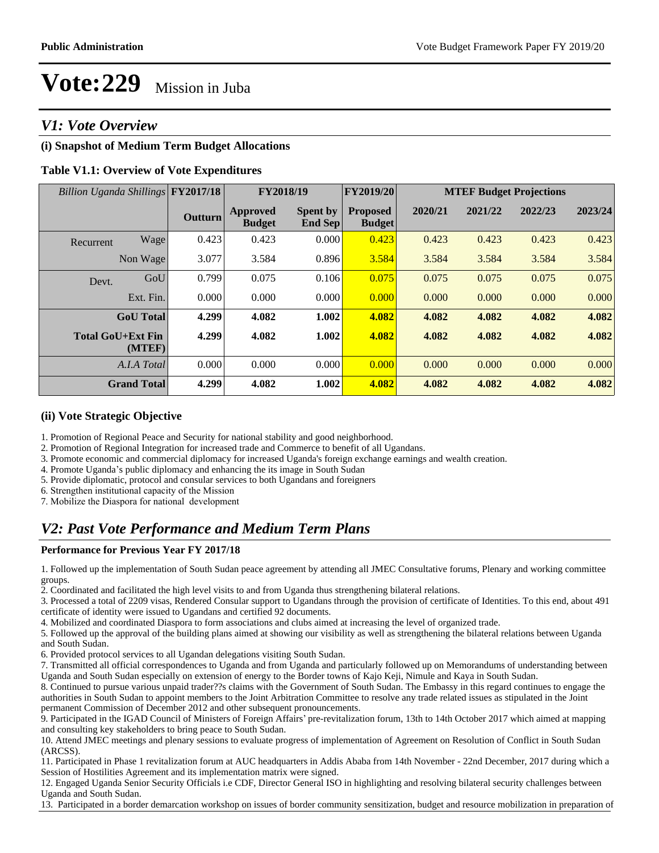### *V1: Vote Overview*

### **(i) Snapshot of Medium Term Budget Allocations**

#### **Table V1.1: Overview of Vote Expenditures**

| Billion Uganda Shillings |                                    | <b>FY2017/18</b> | FY2018/19                 |                            | FY2019/20                        | <b>MTEF Budget Projections</b> |         |         |         |
|--------------------------|------------------------------------|------------------|---------------------------|----------------------------|----------------------------------|--------------------------------|---------|---------|---------|
|                          |                                    | Outturn          | Approved<br><b>Budget</b> | <b>Spent by</b><br>End Sep | <b>Proposed</b><br><b>Budget</b> | 2020/21                        | 2021/22 | 2022/23 | 2023/24 |
| Recurrent                | Wage                               | 0.423            | 0.423                     | 0.000                      | 0.423                            | 0.423                          | 0.423   | 0.423   | 0.423   |
|                          | Non Wage                           | 3.077            | 3.584                     | 0.896                      | 3.584                            | 3.584                          | 3.584   | 3.584   | 3.584   |
| Devt.                    | GoU                                | 0.799            | 0.075                     | 0.106                      | 0.075                            | 0.075                          | 0.075   | 0.075   | 0.075   |
|                          | Ext. Fin.                          | 0.000            | 0.000                     | 0.000                      | 0.000                            | 0.000                          | 0.000   | 0.000   | 0.000   |
|                          | <b>GoU</b> Total                   | 4.299            | 4.082                     | 1.002                      | 4.082                            | 4.082                          | 4.082   | 4.082   | 4.082   |
|                          | <b>Total GoU+Ext Fin</b><br>(MTEF) | 4.299            | 4.082                     | 1.002                      | 4.082                            | 4.082                          | 4.082   | 4.082   | 4.082   |
|                          | A.I.A Total                        | 0.000            | 0.000                     | 0.000                      | 0.000                            | 0.000                          | 0.000   | 0.000   | 0.000   |
|                          | <b>Grand Total</b>                 | 4.299            | 4.082                     | 1.002                      | 4.082                            | 4.082                          | 4.082   | 4.082   | 4.082   |

#### **(ii) Vote Strategic Objective**

1. Promotion of Regional Peace and Security for national stability and good neighborhood.

- 2. Promotion of Regional Integration for increased trade and Commerce to benefit of all Ugandans.
- 3. Promote economic and commercial diplomacy for increased Uganda's foreign exchange earnings and wealth creation.
- 4. Promote Uganda's public diplomacy and enhancing the its image in South Sudan

5. Provide diplomatic, protocol and consular services to both Ugandans and foreigners

6. Strengthen institutional capacity of the Mission

7. Mobilize the Diaspora for national development

### *V2: Past Vote Performance and Medium Term Plans*

#### **Performance for Previous Year FY 2017/18**

1. Followed up the implementation of South Sudan peace agreement by attending all JMEC Consultative forums, Plenary and working committee groups.

2. Coordinated and facilitated the high level visits to and from Uganda thus strengthening bilateral relations.

3. Processed a total of 2209 visas, Rendered Consular support to Ugandans through the provision of certificate of Identities. To this end, about 491 certificate of identity were issued to Ugandans and certified 92 documents.

4. Mobilized and coordinated Diaspora to form associations and clubs aimed at increasing the level of organized trade.

5. Followed up the approval of the building plans aimed at showing our visibility as well as strengthening the bilateral relations between Uganda and South Sudan.

6. Provided protocol services to all Ugandan delegations visiting South Sudan.

7. Transmitted all official correspondences to Uganda and from Uganda and particularly followed up on Memorandums of understanding between Uganda and South Sudan especially on extension of energy to the Border towns of Kajo Keji, Nimule and Kaya in South Sudan.

8. Continued to pursue various unpaid trader??s claims with the Government of South Sudan. The Embassy in this regard continues to engage the authorities in South Sudan to appoint members to the Joint Arbitration Committee to resolve any trade related issues as stipulated in the Joint permanent Commission of December 2012 and other subsequent pronouncements.

9. Participated in the IGAD Council of Ministers of Foreign Affairs' pre-revitalization forum, 13th to 14th October 2017 which aimed at mapping and consulting key stakeholders to bring peace to South Sudan.

10. Attend JMEC meetings and plenary sessions to evaluate progress of implementation of Agreement on Resolution of Conflict in South Sudan (ARCSS).

11. Participated in Phase 1 revitalization forum at AUC headquarters in Addis Ababa from 14th November - 22nd December, 2017 during which a Session of Hostilities Agreement and its implementation matrix were signed.

12. Engaged Uganda Senior Security Officials i.e CDF, Director General ISO in highlighting and resolving bilateral security challenges between Uganda and South Sudan.

13. Participated in a border demarcation workshop on issues of border community sensitization, budget and resource mobilization in preparation of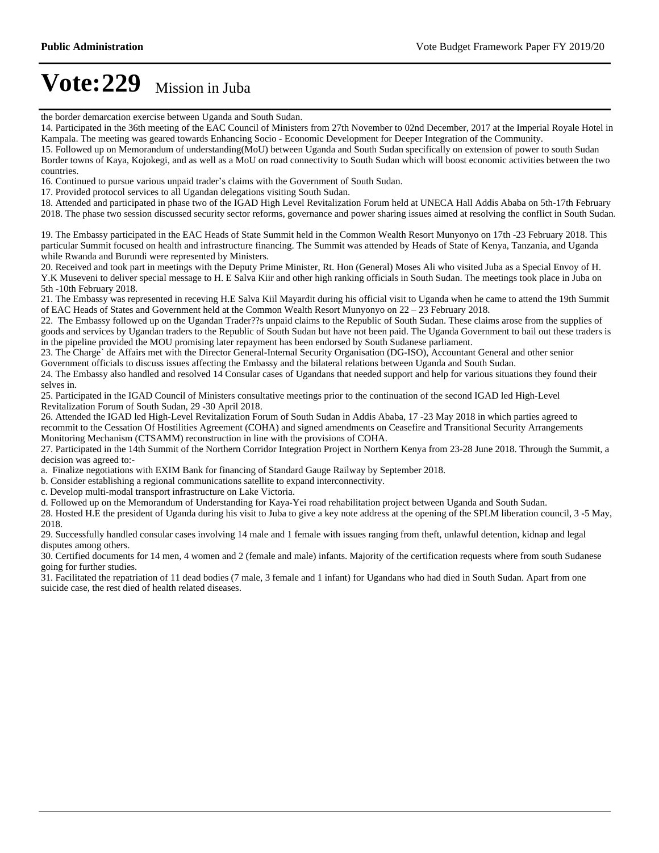the border demarcation exercise between Uganda and South Sudan.

14. Participated in the 36th meeting of the EAC Council of Ministers from 27th November to 02nd December, 2017 at the Imperial Royale Hotel in Kampala. The meeting was geared towards Enhancing Socio - Economic Development for Deeper Integration of the Community. 15. Followed up on Memorandum of understanding(MoU) between Uganda and South Sudan specifically on extension of power to south Sudan

Border towns of Kaya, Kojokegi, and as well as a MoU on road connectivity to South Sudan which will boost economic activities between the two countries.

16. Continued to pursue various unpaid trader's claims with the Government of South Sudan.

17. Provided protocol services to all Ugandan delegations visiting South Sudan.

18. Attended and participated in phase two of the IGAD High Level Revitalization Forum held at UNECA Hall Addis Ababa on 5th-17th February 2018. The phase two session discussed security sector reforms, governance and power sharing issues aimed at resolving the conflict in South Sudan.

19. The Embassy participated in the EAC Heads of State Summit held in the Common Wealth Resort Munyonyo on 17th -23 February 2018. This particular Summit focused on health and infrastructure financing. The Summit was attended by Heads of State of Kenya, Tanzania, and Uganda while Rwanda and Burundi were represented by Ministers.

20. Received and took part in meetings with the Deputy Prime Minister, Rt. Hon (General) Moses Ali who visited Juba as a Special Envoy of H. Y.K Museveni to deliver special message to H. E Salva Kiir and other high ranking officials in South Sudan. The meetings took place in Juba on 5th -10th February 2018.

21. The Embassy was represented in receving H.E Salva Kiil Mayardit during his official visit to Uganda when he came to attend the 19th Summit of EAC Heads of States and Government held at the Common Wealth Resort Munyonyo on  $22-23$  February 2018.

22. The Embassy followed up on the Ugandan Trader??s unpaid claims to the Republic of South Sudan. These claims arose from the supplies of goods and services by Ugandan traders to the Republic of South Sudan but have not been paid. The Uganda Government to bail out these traders is in the pipeline provided the MOU promising later repayment has been endorsed by South Sudanese parliament.

23. The Charge` de Affairs met with the Director General-Internal Security Organisation (DG-ISO), Accountant General and other senior

Government officials to discuss issues affecting the Embassy and the bilateral relations between Uganda and South Sudan.

24. The Embassy also handled and resolved 14 Consular cases of Ugandans that needed support and help for various situations they found their selves in.

25. Participated in the IGAD Council of Ministers consultative meetings prior to the continuation of the second IGAD led High-Level Revitalization Forum of South Sudan, 29 -30 April 2018.

26. Attended the IGAD led High-Level Revitalization Forum of South Sudan in Addis Ababa, 17 -23 May 2018 in which parties agreed to recommit to the Cessation Of Hostilities Agreement (COHA) and signed amendments on Ceasefire and Transitional Security Arrangements Monitoring Mechanism (CTSAMM) reconstruction in line with the provisions of COHA.

27. Participated in the 14th Summit of the Northern Corridor Integration Project in Northern Kenya from 23-28 June 2018. Through the Summit, a decision was agreed to:-

a. Finalize negotiations with EXIM Bank for financing of Standard Gauge Railway by September 2018.

b. Consider establishing a regional communications satellite to expand interconnectivity.

c. Develop multi-modal transport infrastructure on Lake Victoria.

d. Followed up on the Memorandum of Understanding for Kaya-Yei road rehabilitation project between Uganda and South Sudan.

28. Hosted H.E the president of Uganda during his visit to Juba to give a key note address at the opening of the SPLM liberation council, 3 -5 May, 2018.

29. Successfully handled consular cases involving 14 male and 1 female with issues ranging from theft, unlawful detention, kidnap and legal disputes among others.

30. Certified documents for 14 men, 4 women and 2 (female and male) infants. Majority of the certification requests where from south Sudanese going for further studies.

31. Facilitated the repatriation of 11 dead bodies (7 male, 3 female and 1 infant) for Ugandans who had died in South Sudan. Apart from one suicide case, the rest died of health related diseases.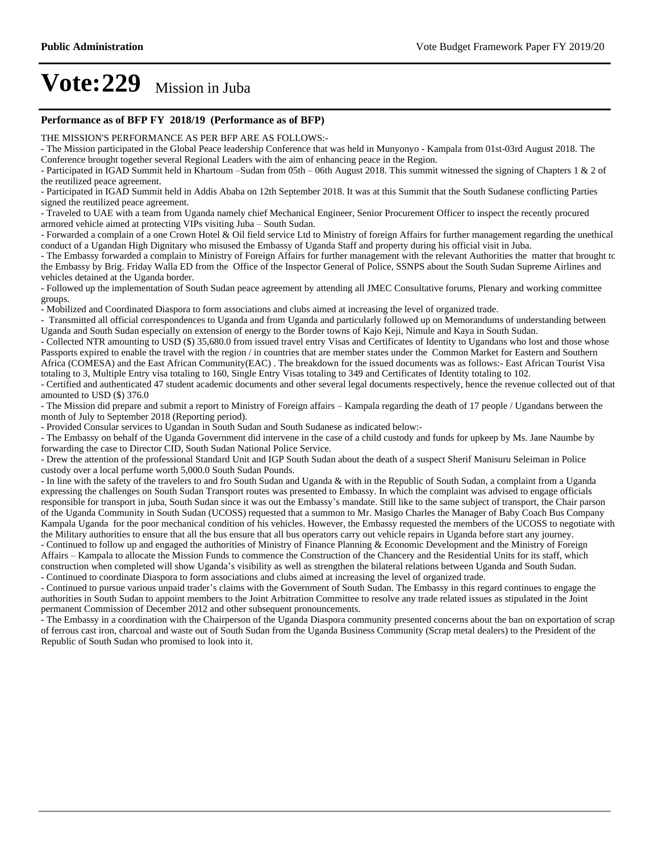#### **Performance as of BFP FY 2018/19 (Performance as of BFP)**

THE MISSION'S PERFORMANCE AS PER BFP ARE AS FOLLOWS:-

- The Mission participated in the Global Peace leadership Conference that was held in Munyonyo - Kampala from 01st-03rd August 2018. The Conference brought together several Regional Leaders with the aim of enhancing peace in the Region.

- Participated in IGAD Summit held in Khartoum -Sudan from 05th  $-$  06th August 2018. This summit witnessed the signing of Chapters 1 & 2 of the reutilized peace agreement.

- Participated in IGAD Summit held in Addis Ababa on 12th September 2018. It was at this Summit that the South Sudanese conflicting Parties signed the reutilized peace agreement.

- Traveled to UAE with a team from Uganda namely chief Mechanical Engineer, Senior Procurement Officer to inspect the recently procured armored vehicle aimed at protecting VIPs visiting Juba - South Sudan.

- Forwarded a complain of a one Crown Hotel & Oil field service Ltd to Ministry of foreign Affairs for further management regarding the unethical conduct of a Ugandan High Dignitary who misused the Embassy of Uganda Staff and property during his official visit in Juba.

- The Embassy forwarded a complain to Ministry of Foreign Affairs for further management with the relevant Authorities the matter that brought to the Embassy by Brig. Friday Walla ED from the Office of the Inspector General of Police, SSNPS about the South Sudan Supreme Airlines and vehicles detained at the Uganda border.

- Followed up the implementation of South Sudan peace agreement by attending all JMEC Consultative forums, Plenary and working committee groups.

- Mobilized and Coordinated Diaspora to form associations and clubs aimed at increasing the level of organized trade.

- Transmitted all official correspondences to Uganda and from Uganda and particularly followed up on Memorandums of understanding between Uganda and South Sudan especially on extension of energy to the Border towns of Kajo Keji, Nimule and Kaya in South Sudan.

- Collected NTR amounting to USD (\$) 35,680.0 from issued travel entry Visas and Certificates of Identity to Ugandans who lost and those whose Passports expired to enable the travel with the region / in countries that are member states under the Common Market for Eastern and Southern Africa (COMESA) and the East African Community(EAC) . The breakdown for the issued documents was as follows:- East African Tourist Visa totaling to 3, Multiple Entry visa totaling to 160, Single Entry Visas totaling to 349 and Certificates of Identity totaling to 102.

- Certified and authenticated 47 student academic documents and other several legal documents respectively, hence the revenue collected out of that amounted to USD (\$) 376.0

- The Mission did prepare and submit a report to Ministry of Foreign affairs – Kampala regarding the death of 17 people / Ugandans between the month of July to September 2018 (Reporting period).

- Provided Consular services to Ugandan in South Sudan and South Sudanese as indicated below:-

- The Embassy on behalf of the Uganda Government did intervene in the case of a child custody and funds for upkeep by Ms. Jane Naumbe by forwarding the case to Director CID, South Sudan National Police Service.

- Drew the attention of the professional Standard Unit and IGP South Sudan about the death of a suspect Sherif Manisuru Seleiman in Police custody over a local perfume worth 5,000.0 South Sudan Pounds.

- In line with the safety of the travelers to and fro South Sudan and Uganda & with in the Republic of South Sudan, a complaint from a Uganda expressing the challenges on South Sudan Transport routes was presented to Embassy. In which the complaint was advised to engage officials responsible for transport in juba, South Sudan since it was out the Embassy's mandate. Still like to the same subject of transport, the Chair parson of the Uganda Community in South Sudan (UCOSS) requested that a summon to Mr. Masigo Charles the Manager of Baby Coach Bus Company Kampala Uganda for the poor mechanical condition of his vehicles. However, the Embassy requested the members of the UCOSS to negotiate with the Military authorities to ensure that all the bus ensure that all bus operators carry out vehicle repairs in Uganda before start any journey.

- Continued to follow up and engaged the authorities of Ministry of Finance Planning & Economic Development and the Ministry of Foreign Affairs – Kampala to allocate the Mission Funds to commence the Construction of the Chancery and the Residential Units for its staff, which construction when completed will show Uganda's visibility as well as strengthen the bilateral relations between Uganda and South Sudan. - Continued to coordinate Diaspora to form associations and clubs aimed at increasing the level of organized trade.

- Continued to pursue various unpaid trader's claims with the Government of South Sudan. The Embassy in this regard continues to engage the authorities in South Sudan to appoint members to the Joint Arbitration Committee to resolve any trade related issues as stipulated in the Joint permanent Commission of December 2012 and other subsequent pronouncements.

- The Embassy in a coordination with the Chairperson of the Uganda Diaspora community presented concerns about the ban on exportation of scrap of ferrous cast iron, charcoal and waste out of South Sudan from the Uganda Business Community (Scrap metal dealers) to the President of the Republic of South Sudan who promised to look into it.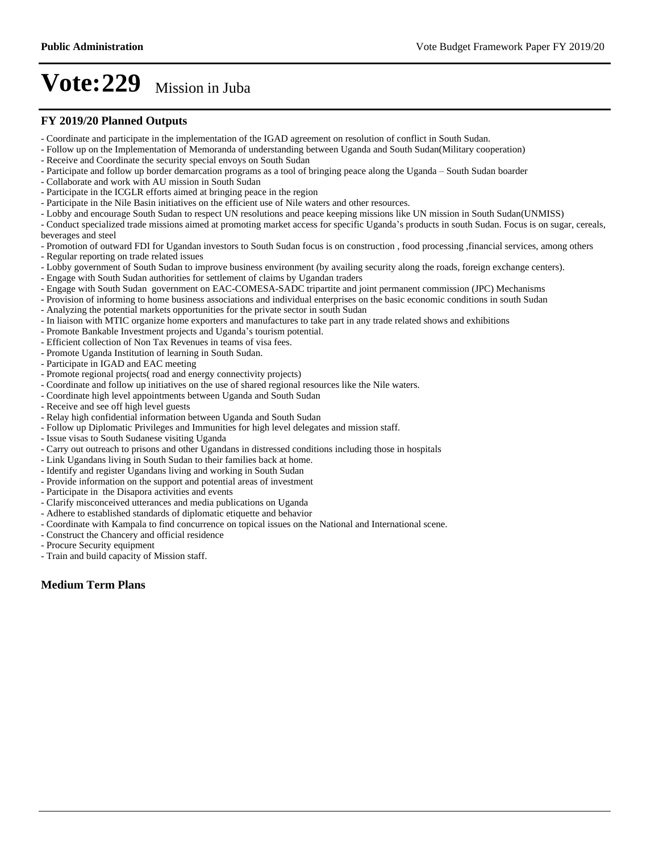#### **FY 2019/20 Planned Outputs**

- Coordinate and participate in the implementation of the IGAD agreement on resolution of conflict in South Sudan.
- Follow up on the Implementation of Memoranda of understanding between Uganda and South Sudan(Military cooperation)
- Receive and Coordinate the security special envoys on South Sudan
- Participate and follow up border demarcation programs as a tool of bringing peace along the Uganda South Sudan boarder
- Collaborate and work with AU mission in South Sudan
- Participate in the ICGLR efforts aimed at bringing peace in the region
- Participate in the Nile Basin initiatives on the efficient use of Nile waters and other resources.
- Lobby and encourage South Sudan to respect UN resolutions and peace keeping missions like UN mission in South Sudan(UNMISS)
- Conduct specialized trade missions aimed at promoting market access for specific Uganda's products in south Sudan. Focus is on sugar, cereals, beverages and steel
- Promotion of outward FDI for Ugandan investors to South Sudan focus is on construction , food processing ,financial services, among others - Regular reporting on trade related issues
- Lobby government of South Sudan to improve business environment (by availing security along the roads, foreign exchange centers).
- Engage with South Sudan authorities for settlement of claims by Ugandan traders
- Engage with South Sudan government on EAC-COMESA-SADC tripartite and joint permanent commission (JPC) Mechanisms
- Provision of informing to home business associations and individual enterprises on the basic economic conditions in south Sudan
- Analyzing the potential markets opportunities for the private sector in south Sudan
- In liaison with MTIC organize home exporters and manufactures to take part in any trade related shows and exhibitions
- Promote Bankable Investment projects and Uganda's tourism potential.
- Efficient collection of Non Tax Revenues in teams of visa fees.
- Promote Uganda Institution of learning in South Sudan.
- Participate in IGAD and EAC meeting
- Promote regional projects( road and energy connectivity projects)
- Coordinate and follow up initiatives on the use of shared regional resources like the Nile waters.
- Coordinate high level appointments between Uganda and South Sudan
- Receive and see off high level guests
- Relay high confidential information between Uganda and South Sudan
- Follow up Diplomatic Privileges and Immunities for high level delegates and mission staff.
- Issue visas to South Sudanese visiting Uganda
- Carry out outreach to prisons and other Ugandans in distressed conditions including those in hospitals
- Link Ugandans living in South Sudan to their families back at home.
- Identify and register Ugandans living and working in South Sudan
- Provide information on the support and potential areas of investment
- Participate in the Disapora activities and events
- Clarify misconceived utterances and media publications on Uganda
- Adhere to established standards of diplomatic etiquette and behavior
- Coordinate with Kampala to find concurrence on topical issues on the National and International scene.
- Construct the Chancery and official residence
- Procure Security equipment
- Train and build capacity of Mission staff.

#### **Medium Term Plans**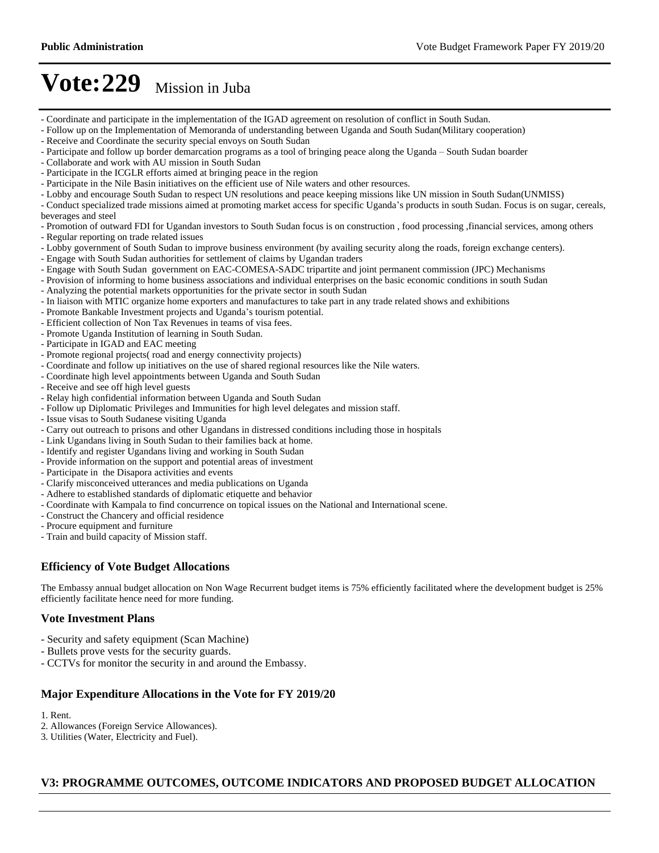- Coordinate and participate in the implementation of the IGAD agreement on resolution of conflict in South Sudan.
- Follow up on the Implementation of Memoranda of understanding between Uganda and South Sudan(Military cooperation)
- Receive and Coordinate the security special envoys on South Sudan
- Participate and follow up border demarcation programs as a tool of bringing peace along the Uganda South Sudan boarder
- Collaborate and work with AU mission in South Sudan
- Participate in the ICGLR efforts aimed at bringing peace in the region
- Participate in the Nile Basin initiatives on the efficient use of Nile waters and other resources.
- Lobby and encourage South Sudan to respect UN resolutions and peace keeping missions like UN mission in South Sudan(UNMISS)

- Conduct specialized trade missions aimed at promoting market access for specific Uganda's products in south Sudan. Focus is on sugar, cereals, beverages and steel

- Promotion of outward FDI for Ugandan investors to South Sudan focus is on construction , food processing ,financial services, among others

- Regular reporting on trade related issues
- Lobby government of South Sudan to improve business environment (by availing security along the roads, foreign exchange centers).
- Engage with South Sudan authorities for settlement of claims by Ugandan traders
- Engage with South Sudan government on EAC-COMESA-SADC tripartite and joint permanent commission (JPC) Mechanisms
- Provision of informing to home business associations and individual enterprises on the basic economic conditions in south Sudan
- Analyzing the potential markets opportunities for the private sector in south Sudan
- In liaison with MTIC organize home exporters and manufactures to take part in any trade related shows and exhibitions
- Promote Bankable Investment projects and Uganda's tourism potential.
- Efficient collection of Non Tax Revenues in teams of visa fees.
- Promote Uganda Institution of learning in South Sudan.
- Participate in IGAD and EAC meeting
- Promote regional projects( road and energy connectivity projects)
- Coordinate and follow up initiatives on the use of shared regional resources like the Nile waters.
- Coordinate high level appointments between Uganda and South Sudan
- Receive and see off high level guests
- Relay high confidential information between Uganda and South Sudan
- Follow up Diplomatic Privileges and Immunities for high level delegates and mission staff.
- Issue visas to South Sudanese visiting Uganda
- Carry out outreach to prisons and other Ugandans in distressed conditions including those in hospitals
- Link Ugandans living in South Sudan to their families back at home.
- Identify and register Ugandans living and working in South Sudan
- Provide information on the support and potential areas of investment
- Participate in the Disapora activities and events
- Clarify misconceived utterances and media publications on Uganda
- Adhere to established standards of diplomatic etiquette and behavior
- Coordinate with Kampala to find concurrence on topical issues on the National and International scene.
- Construct the Chancery and official residence
- Procure equipment and furniture
- Train and build capacity of Mission staff.

#### **Efficiency of Vote Budget Allocations**

The Embassy annual budget allocation on Non Wage Recurrent budget items is 75% efficiently facilitated where the development budget is 25% efficiently facilitate hence need for more funding.

#### **Vote Investment Plans**

- Security and safety equipment (Scan Machine)
- Bullets prove vests for the security guards.
- CCTVs for monitor the security in and around the Embassy.

#### **Major Expenditure Allocations in the Vote for FY 2019/20**

1. Rent.

- 2. Allowances (Foreign Service Allowances).
- 3. Utilities (Water, Electricity and Fuel).

#### **V3: PROGRAMME OUTCOMES, OUTCOME INDICATORS AND PROPOSED BUDGET ALLOCATION**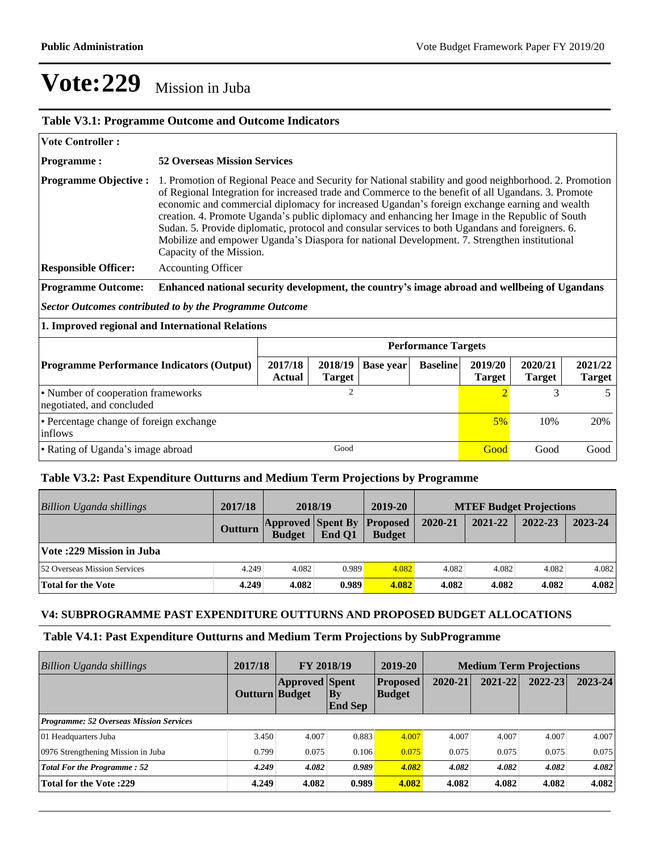| <b>Table V3.1: Programme Outcome and Outcome Indicators</b>     |                                                                                                                                                                                                                                                                                                                                                                                                                                                                                                                                                                                                                                                   |                          |                  |                 |                          |                          |                          |      |  |
|-----------------------------------------------------------------|---------------------------------------------------------------------------------------------------------------------------------------------------------------------------------------------------------------------------------------------------------------------------------------------------------------------------------------------------------------------------------------------------------------------------------------------------------------------------------------------------------------------------------------------------------------------------------------------------------------------------------------------------|--------------------------|------------------|-----------------|--------------------------|--------------------------|--------------------------|------|--|
| <b>Vote Controller:</b>                                         |                                                                                                                                                                                                                                                                                                                                                                                                                                                                                                                                                                                                                                                   |                          |                  |                 |                          |                          |                          |      |  |
| <b>Programme:</b>                                               | <b>52 Overseas Mission Services</b>                                                                                                                                                                                                                                                                                                                                                                                                                                                                                                                                                                                                               |                          |                  |                 |                          |                          |                          |      |  |
| <b>Programme Objective:</b>                                     | 1. Promotion of Regional Peace and Security for National stability and good neighborhood. 2. Promotion<br>of Regional Integration for increased trade and Commerce to the benefit of all Ugandans. 3. Promote<br>economic and commercial diplomacy for increased Ugandan's foreign exchange earning and wealth<br>creation. 4. Promote Uganda's public diplomacy and enhancing her Image in the Republic of South<br>Sudan. 5. Provide diplomatic, protocol and consular services to both Ugandans and foreigners. 6.<br>Mobilize and empower Uganda's Diaspora for national Development. 7. Strengthen institutional<br>Capacity of the Mission. |                          |                  |                 |                          |                          |                          |      |  |
| <b>Responsible Officer:</b>                                     | <b>Accounting Officer</b>                                                                                                                                                                                                                                                                                                                                                                                                                                                                                                                                                                                                                         |                          |                  |                 |                          |                          |                          |      |  |
| <b>Programme Outcome:</b>                                       | Enhanced national security development, the country's image abroad and wellbeing of Ugandans                                                                                                                                                                                                                                                                                                                                                                                                                                                                                                                                                      |                          |                  |                 |                          |                          |                          |      |  |
| <b>Sector Outcomes contributed to by the Programme Outcome</b>  |                                                                                                                                                                                                                                                                                                                                                                                                                                                                                                                                                                                                                                                   |                          |                  |                 |                          |                          |                          |      |  |
| 1. Improved regional and International Relations                |                                                                                                                                                                                                                                                                                                                                                                                                                                                                                                                                                                                                                                                   |                          |                  |                 |                          |                          |                          |      |  |
|                                                                 | <b>Performance Targets</b>                                                                                                                                                                                                                                                                                                                                                                                                                                                                                                                                                                                                                        |                          |                  |                 |                          |                          |                          |      |  |
| <b>Programme Performance Indicators (Output)</b>                | 2017/18<br><b>Actual</b>                                                                                                                                                                                                                                                                                                                                                                                                                                                                                                                                                                                                                          | 2018/19<br><b>Target</b> | <b>Base year</b> | <b>Baseline</b> | 2019/20<br><b>Target</b> | 2020/21<br><b>Target</b> | 2021/22<br><b>Target</b> |      |  |
| • Number of cooperation frameworks<br>negotiated, and concluded | 2                                                                                                                                                                                                                                                                                                                                                                                                                                                                                                                                                                                                                                                 |                          |                  |                 | $\overline{2}$           | 3                        | 5                        |      |  |
| • Percentage change of foreign exchange<br>inflows              |                                                                                                                                                                                                                                                                                                                                                                                                                                                                                                                                                                                                                                                   |                          |                  |                 | 5%                       | 10%                      | 20%                      |      |  |
| • Rating of Uganda's image abroad                               |                                                                                                                                                                                                                                                                                                                                                                                                                                                                                                                                                                                                                                                   | Good                     |                  |                 |                          | Good                     | Good                     | Good |  |

#### **Table V3.2: Past Expenditure Outturns and Medium Term Projections by Programme**

| Billion Uganda shillings            | 2017/18        | 2018/19                                            |        | 2019-20       | <b>MTEF Budget Projections</b> |         |         |         |
|-------------------------------------|----------------|----------------------------------------------------|--------|---------------|--------------------------------|---------|---------|---------|
|                                     | <b>Outturn</b> | <b>Approved Spent By Proposed</b><br><b>Budget</b> | End O1 | <b>Budget</b> | 2020-21                        | 2021-22 | 2022-23 | 2023-24 |
| Vote: 229 Mission in Juba           |                |                                                    |        |               |                                |         |         |         |
| <b>52 Overseas Mission Services</b> | 4.249          | 4.082                                              | 0.989  | 4.082         | 4.082                          | 4.082   | 4.082   | 4.082   |
| <b>Total for the Vote</b>           | 4.249          | 4.082                                              | 0.989  | 4.082         | 4.082                          | 4.082   | 4.082   | 4.082   |

#### **V4: SUBPROGRAMME PAST EXPENDITURE OUTTURNS AND PROPOSED BUDGET ALLOCATIONS**

### **Table V4.1: Past Expenditure Outturns and Medium Term Projections by SubProgramme**

| <b>Billion Uganda shillings</b>                | 2017/18        | FY 2018/19            |                             | 2019-20                          | <b>Medium Term Projections</b> |         |         |         |  |
|------------------------------------------------|----------------|-----------------------|-----------------------------|----------------------------------|--------------------------------|---------|---------|---------|--|
|                                                | Outturn Budget | <b>Approved</b> Spent | $\bf{By}$<br><b>End Sep</b> | <b>Proposed</b><br><b>Budget</b> | 2020-21                        | 2021-22 | 2022-23 | 2023-24 |  |
| <b>Programme: 52 Overseas Mission Services</b> |                |                       |                             |                                  |                                |         |         |         |  |
| 01 Headquarters Juba                           | 3.450          | 4.007                 | 0.883                       | 4.007                            | 4.007                          | 4.007   | 4.007   | 4.007   |  |
| 0976 Strengthening Mission in Juba             | 0.799          | 0.075                 | 0.106                       | 0.075                            | 0.075                          | 0.075   | 0.075   | 0.075   |  |
| <b>Total For the Programme: 52</b>             | 4.249          | 4.082                 | 0.989                       | 4.082                            | 4.082                          | 4.082   | 4.082   | 4.082   |  |
| <b>Total for the Vote:229</b>                  | 4.249          | 4.082                 | 0.989                       | 4.082                            | 4.082                          | 4.082   | 4.082   | 4.082   |  |